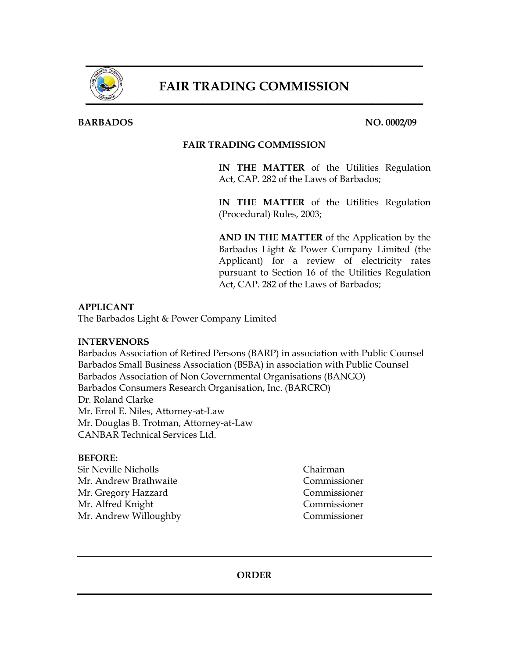

# FAIR TRADING COMMISSION

## **BARBADOS** NO. 0002/09

## **FAIR TRADING COMMISSION**

**IN THE MATTER** of the Utilities Regulation Act, CAP. 282 of the Laws of Barbados;

**IN THE MATTER** of the Utilities Regulation (Procedural) Rules, 2003;

**AND IN THE MATTER** of the Application by the Barbados Light & Power Company Limited (the Applicant) for a review of electricity rates pursuant to Section 16 of the Utilities Regulation Act, CAP. 282 of the Laws of Barbados;

## **APPLICANT**

The Barbados Light & Power Company Limited

#### **INTERVENORS**

Barbados Association of Retired Persons (BARP) in association with Public Counsel Barbados Small Business Association (BSBA) in association with Public Counsel Barbados Association of Non Governmental Organisations (BANGO) Barbados Consumers Research Organisation, Inc. (BARCRO) Dr. Roland Clarke Mr. Errol E. Niles, Attorney-at-Law Mr. Douglas B. Trotman, Attorney-at-Law CANBAR Technical Services Ltd.

#### **BEFORE:**

Sir Neville Nicholls Chairman Mr. Andrew Brathwaite Commissioner Mr. Gregory Hazzard Commissioner Mr. Alfred Knight Commissioner Mr. Andrew Willoughby Commissioner

**ORDER**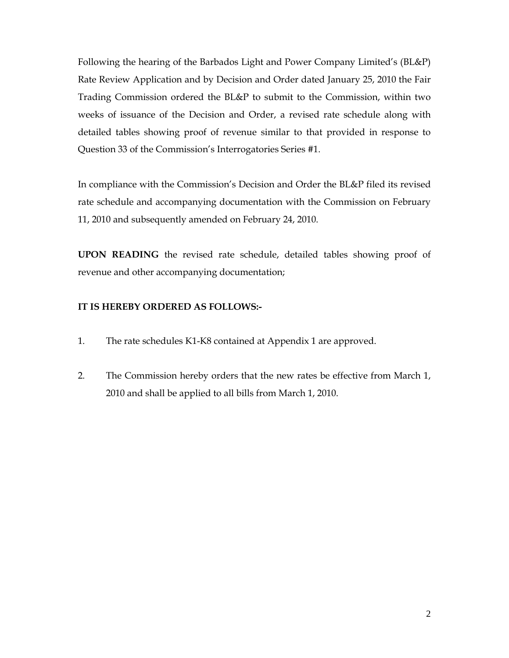Following the hearing of the Barbados Light and Power Company Limited's (BL&P) Rate Review Application and by Decision and Order dated January 25, 2010 the Fair Trading Commission ordered the BL&P to submit to the Commission, within two weeks of issuance of the Decision and Order, a revised rate schedule along with detailed tables showing proof of revenue similar to that provided in response to Question 33 of the Commission's Interrogatories Series #1.

In compliance with the Commission's Decision and Order the BL&P filed its revised rate schedule and accompanying documentation with the Commission on February 11, 2010 and subsequently amended on February 24, 2010.

**UPON READING** the revised rate schedule, detailed tables showing proof of revenue and other accompanying documentation;

## **IT IS HEREBY ORDERED AS FOLLOWS:-**

- 1. The rate schedules K1-K8 contained at Appendix 1 are approved.
- 2. The Commission hereby orders that the new rates be effective from March 1, 2010 and shall be applied to all bills from March 1, 2010.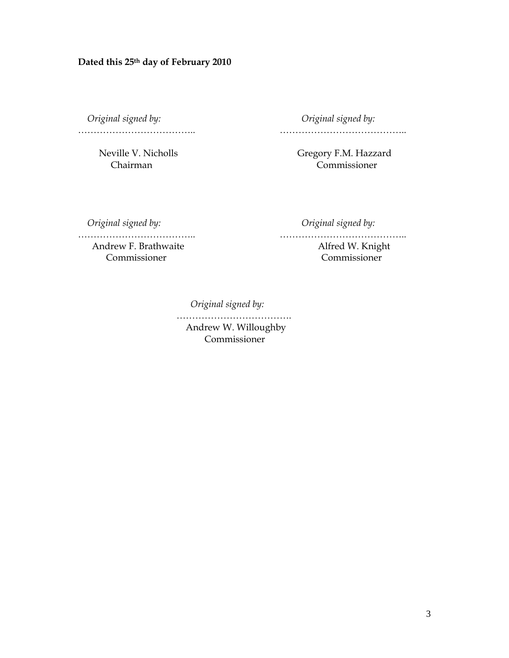*Original signed by: Original signed by:* 

……………………………….. …………………………………..

Neville V. Nicholls Gregory F.M. Hazzard Chairman Commissioner

*Original signed by: Original signed by:* 

……………………………….. …………………………………..

Andrew F. Brathwaite **Alfred W. Knight** Commissioner Commissioner

*Original signed by:* 

……………………………………… Andrew W. Willoughby Commissioner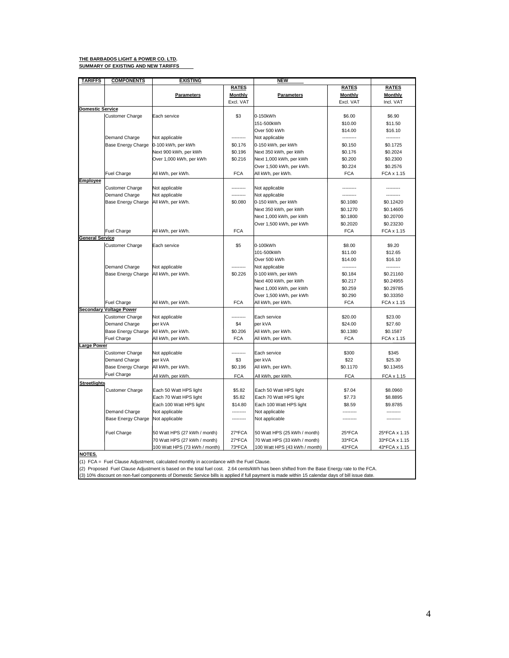#### **THE BARBADOS LIGHT & POWER CO. LTD.**

**SUMMARY OF EXISTING AND NEW TARIFFS**

| <b>TARIFFS</b>          | <b>COMPONENTS</b>              | <u>EXISTING</u>               |              | NEW                           |                |               |
|-------------------------|--------------------------------|-------------------------------|--------------|-------------------------------|----------------|---------------|
|                         |                                |                               | <b>RATES</b> |                               | <b>RATES</b>   | <b>RATES</b>  |
|                         |                                | Parameters                    | Monthly      | Parameters                    | <b>Monthly</b> | Monthly       |
|                         |                                |                               | Excl. VAT    |                               | Excl. VAT      | Incl. VAT     |
| <b>Domestic Service</b> |                                |                               |              |                               |                |               |
|                         | <b>Customer Charge</b>         | Each service                  | \$3          | 0-150kWh                      | \$6.00         | \$6.90        |
|                         |                                |                               |              | 151-500kWh                    | \$10.00        | \$11.50       |
|                         |                                |                               |              | Over 500 kWh                  | \$14.00        | \$16.10       |
|                         | Demand Charge                  | Not applicable                |              | Not applicable                |                | ---------     |
|                         | Base Energy Charge             | 0-100 kWh, per kWh            | \$0.176      | 0-150 kWh, per kWh            | \$0.150        | \$0.1725      |
|                         |                                | Next 900 kWh, per kWh         | \$0.196      | Next 350 kWh, per kWh         | \$0.176        | \$0.2024      |
|                         |                                | Over 1,000 kWh, per kWh       | \$0.216      | Next 1,000 kWh, per kWh       | \$0.200        | \$0.2300      |
|                         |                                |                               |              | Over 1,500 kWh, per kWh.      | \$0.224        | \$0.2576      |
|                         | Fuel Charge                    | All kWh, per kWh.             | <b>FCA</b>   | All kWh, per kWh.             | <b>FCA</b>     | FCA x 1.15    |
| <u>Employee</u>         |                                |                               |              |                               |                |               |
|                         | <b>Customer Charge</b>         | Not applicable                |              | Not applicable                |                |               |
|                         | Demand Charge                  | Not applicable                |              | Not applicable                |                |               |
|                         | Base Energy Charge             | All kWh, per kWh.             | \$0.080      | 0-150 kWh, per kWh            | \$0.1080       | \$0.12420     |
|                         |                                |                               |              | Next 350 kWh, per kWh         | \$0.1270       | \$0.14605     |
|                         |                                |                               |              | Next 1,000 kWh, per kWh       | \$0.1800       | \$0.20700     |
|                         |                                |                               |              | Over 1,500 kWh, per kWh       | \$0.2020       | \$0.23230     |
|                         | Fuel Charge                    | All kWh, per kWh.             | <b>FCA</b>   |                               | <b>FCA</b>     | FCA x 1.15    |
| <b>General Service</b>  |                                |                               |              |                               |                |               |
|                         | <b>Customer Charge</b>         | Each service                  | \$5          | 0-100kWh                      | \$8.00         | \$9.20        |
|                         |                                |                               |              | 101-500kWh                    | \$11.00        | \$12.65       |
|                         |                                |                               |              | Over 500 kWh                  | \$14.00        | \$16.10       |
|                         | Demand Charge                  | Not applicable                |              | Not applicable                |                | ---------     |
|                         | Base Energy Charge             | All kWh, per kWh.             | \$0.226      | 0-100 kWh, per kWh            | \$0.184        | \$0.21160     |
|                         |                                |                               |              | Next 400 kWh, per kWh         | \$0.217        | \$0.24955     |
|                         |                                |                               |              | Next 1,000 kWh, per kWh       | \$0.259        | \$0.29785     |
|                         |                                |                               |              | Over 1,500 kWh, per kWh       | \$0.290        | \$0.33350     |
|                         | <b>Fuel Charge</b>             | All kWh, per kWh.             | <b>FCA</b>   | All kWh, per kWh.             | <b>FCA</b>     | FCA x 1.15    |
|                         | <b>Secondary Voltage Power</b> |                               |              |                               |                |               |
|                         | <b>Customer Charge</b>         | Not applicable                | .            | Each service                  | \$20.00        | \$23.00       |
|                         | Demand Charge                  | per kVA                       | \$4          | per kVA                       | \$24.00        | \$27.60       |
|                         | Base Energy Charge             | All kWh, per kWh.             | \$0.206      | All kWh, per kWh.             | \$0.1380       | \$0.1587      |
|                         | <b>Fuel Charge</b>             | All kWh, per kWh.             | <b>FCA</b>   | All kWh, per kWh.             | <b>FCA</b>     | FCA x 1.15    |
| <b>Large Power</b>      |                                |                               |              |                               |                |               |
|                         | <b>Customer Charge</b>         | Not applicable                | ---------    | Each service                  | \$300          | \$345         |
|                         | Demand Charge                  | per kVA                       | \$3          | per kVA                       | \$22           | \$25.30       |
|                         | Base Energy Charge             | All kWh, per kWh.             | \$0.196      | All kWh, per kWh.             | \$0.1170       | \$0.13455     |
|                         | <b>Fuel Charge</b>             | All kWh, per kWh.             | <b>FCA</b>   | All kWh, per kWh.             | <b>FCA</b>     | FCA x 1.15    |
| <b>Streetlights</b>     |                                |                               |              |                               |                |               |
|                         | <b>Customer Charge</b>         | Each 50 Watt HPS light        | \$5.82       | Each 50 Watt HPS light        | \$7.04         | \$8.0960      |
|                         |                                | Each 70 Watt HPS light        | \$5.82       | Each 70 Watt HPS light        | \$7.73         | \$8.8895      |
|                         |                                | Each 100 Watt HPS light       | \$14.80      | Each 100 Watt HPS light       | \$8.59         | \$9.8785      |
|                         | Demand Charge                  | Not applicable                | ---------    | Not applicable                |                |               |
|                         | Base Energy Charge             | Not applicable                | ---------    | Not applicable                |                |               |
|                         |                                |                               |              |                               |                |               |
|                         | Fuel Charge                    | 50 Watt HPS (27 kWh / month)  | 27*FCA       | 50 Watt HPS (25 kWh / month)  | 25*FCA         | 25*FCA x 1.15 |
|                         |                                | 70 Watt HPS (27 kWh / month)  | 27*FCA       | 70 Watt HPS (33 kWh / month)  | 33*FCA         | 33*FCA x 1.15 |
|                         |                                | 100 Watt HPS (73 kWh / month) | 73*FCA       | 100 Watt HPS (43 kWh / month) | 43*FCA         | 43*FCA x 1.15 |

**NOTES.**

(1) FCA = Fuel Clause Adjustment, calculated monthly in accordance with the Fuel Clause.

(2) Proposed Fuel Clause Adjustment is based on the total fuel cost. 2.64 cents/kWh has been shifted from the Base Energy rate to the FCA.<br>(3) 10% discount on non-fuel components of Domestic Service bills is applied if ful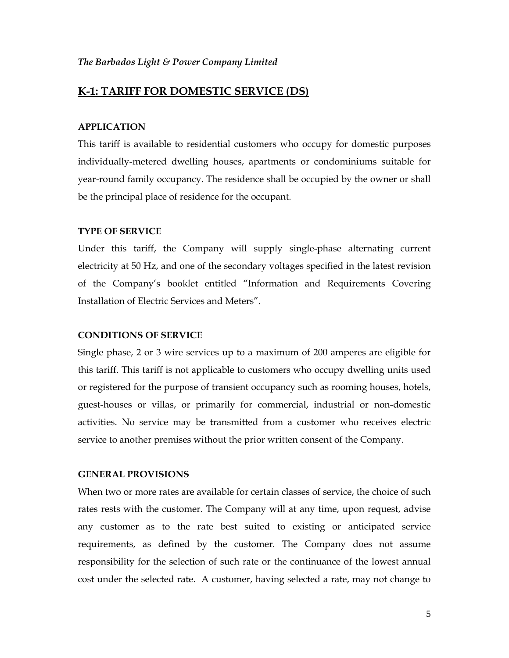## **K-1: TARIFF FOR DOMESTIC SERVICE (DS)**

#### **APPLICATION**

This tariff is available to residential customers who occupy for domestic purposes individually-metered dwelling houses, apartments or condominiums suitable for year-round family occupancy. The residence shall be occupied by the owner or shall be the principal place of residence for the occupant.

#### **TYPE OF SERVICE**

Under this tariff, the Company will supply single-phase alternating current electricity at 50 Hz, and one of the secondary voltages specified in the latest revision of the Company's booklet entitled "Information and Requirements Covering Installation of Electric Services and Meters".

#### **CONDITIONS OF SERVICE**

Single phase, 2 or 3 wire services up to a maximum of 200 amperes are eligible for this tariff. This tariff is not applicable to customers who occupy dwelling units used or registered for the purpose of transient occupancy such as rooming houses, hotels, guest-houses or villas, or primarily for commercial, industrial or non-domestic activities. No service may be transmitted from a customer who receives electric service to another premises without the prior written consent of the Company.

#### **GENERAL PROVISIONS**

When two or more rates are available for certain classes of service, the choice of such rates rests with the customer. The Company will at any time, upon request, advise any customer as to the rate best suited to existing or anticipated service requirements, as defined by the customer. The Company does not assume responsibility for the selection of such rate or the continuance of the lowest annual cost under the selected rate. A customer, having selected a rate, may not change to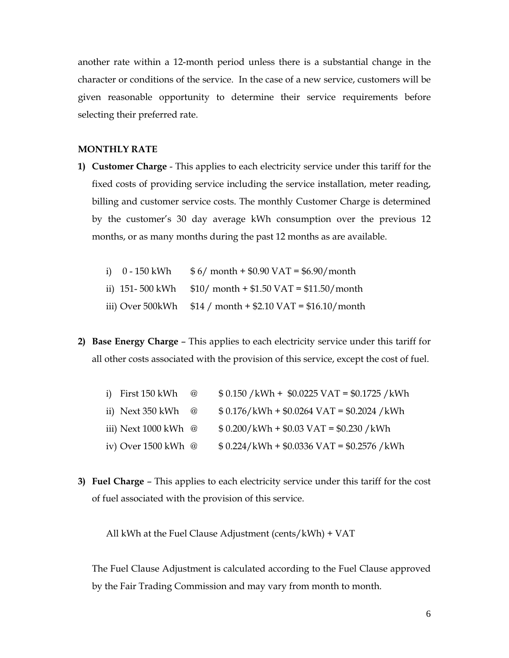another rate within a 12-month period unless there is a substantial change in the character or conditions of the service. In the case of a new service, customers will be given reasonable opportunity to determine their service requirements before selecting their preferred rate.

#### **MONTHLY RATE**

**1) Customer Charge** - This applies to each electricity service under this tariff for the fixed costs of providing service including the service installation, meter reading, billing and customer service costs. The monthly Customer Charge is determined by the customer's 30 day average kWh consumption over the previous 12 months, or as many months during the past 12 months as are available.

| i) 0 - 150 kWh | $$6/$ month + \$0.90 VAT = \$6.90/month |
|----------------|-----------------------------------------|
|                |                                         |

- ii) 151- 500 kWh  $$10/$  month + \$1.50 VAT = \$11.50/month
- iii) Over 500kWh \$14 / month + \$2.10 VAT = \$16.10/month
- **2) Base Energy Charge** This applies to each electricity service under this tariff for all other costs associated with the provision of this service, except the cost of fuel.

| i) First 150 kWh               | $^\text{\textregistered}$ | $$0.150 / kWh + $0.0225 \text{ VAT} = $0.1725 / kWh$ |
|--------------------------------|---------------------------|------------------------------------------------------|
| ii) Next 350 kWh               | $\omega$                  | $$0.176/kWh + $0.0264 VAT = $0.2024 / kWh$           |
| iii) Next $1000$ kWh $\oslash$ |                           | $$0.200/kWh + $0.03 VAT = $0.230 / kWh$              |
| iv) Over 1500 kWh @            |                           | $$0.224/kWh + $0.0336 VAT = $0.2576 / kWh$           |

**3) Fuel Charge** – This applies to each electricity service under this tariff for the cost of fuel associated with the provision of this service.

All kWh at the Fuel Clause Adjustment (cents/kWh) + VAT

The Fuel Clause Adjustment is calculated according to the Fuel Clause approved by the Fair Trading Commission and may vary from month to month.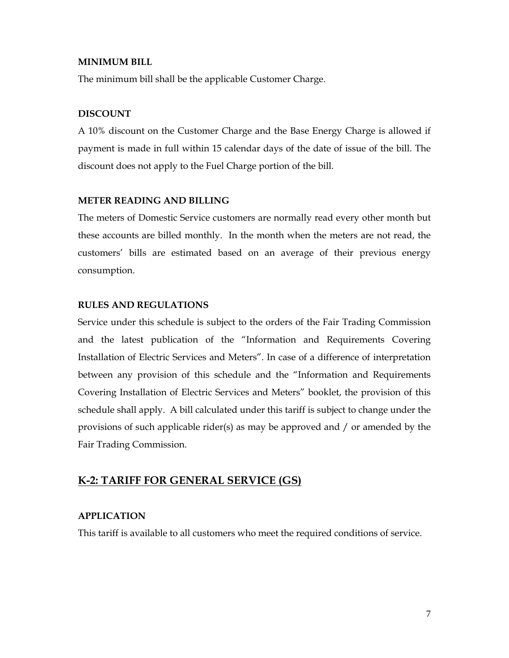#### **MINIMUM BILL**

The minimum bill shall be the applicable Customer Charge.

## **DISCOUNT**

A 10% discount on the Customer Charge and the Base Energy Charge is allowed if payment is made in full within 15 calendar days of the date of issue of the bill. The discount does not apply to the Fuel Charge portion of the bill.

## **METER READING AND BILLING**

The meters of Domestic Service customers are normally read every other month but these accounts are billed monthly. In the month when the meters are not read, the customers' bills are estimated based on an average of their previous energy consumption.

## **RULES AND REGULATIONS**

Service under this schedule is subject to the orders of the Fair Trading Commission and the latest publication of the "Information and Requirements Covering Installation of Electric Services and Meters". In case of a difference of interpretation between any provision of this schedule and the "Information and Requirements Covering Installation of Electric Services and Meters" booklet, the provision of this schedule shall apply. A bill calculated under this tariff is subject to change under the provisions of such applicable rider(s) as may be approved and / or amended by the Fair Trading Commission.

## **K-2: TARIFF FOR GENERAL SERVICE (GS)**

## **APPLICATION**

This tariff is available to all customers who meet the required conditions of service.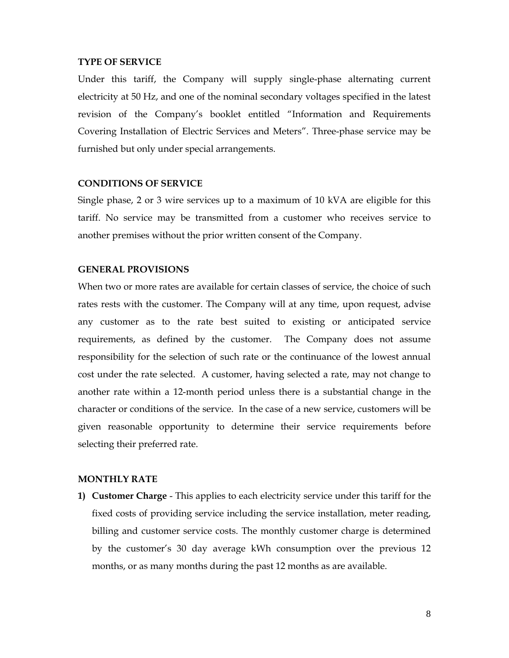#### **TYPE OF SERVICE**

Under this tariff, the Company will supply single-phase alternating current electricity at 50 Hz, and one of the nominal secondary voltages specified in the latest revision of the Company's booklet entitled "Information and Requirements Covering Installation of Electric Services and Meters". Three-phase service may be furnished but only under special arrangements.

#### **CONDITIONS OF SERVICE**

Single phase, 2 or 3 wire services up to a maximum of 10 kVA are eligible for this tariff. No service may be transmitted from a customer who receives service to another premises without the prior written consent of the Company.

#### **GENERAL PROVISIONS**

When two or more rates are available for certain classes of service, the choice of such rates rests with the customer. The Company will at any time, upon request, advise any customer as to the rate best suited to existing or anticipated service requirements, as defined by the customer. The Company does not assume responsibility for the selection of such rate or the continuance of the lowest annual cost under the rate selected. A customer, having selected a rate, may not change to another rate within a 12-month period unless there is a substantial change in the character or conditions of the service. In the case of a new service, customers will be given reasonable opportunity to determine their service requirements before selecting their preferred rate.

### **MONTHLY RATE**

**1) Customer Charge** - This applies to each electricity service under this tariff for the fixed costs of providing service including the service installation, meter reading, billing and customer service costs. The monthly customer charge is determined by the customer's 30 day average kWh consumption over the previous 12 months, or as many months during the past 12 months as are available.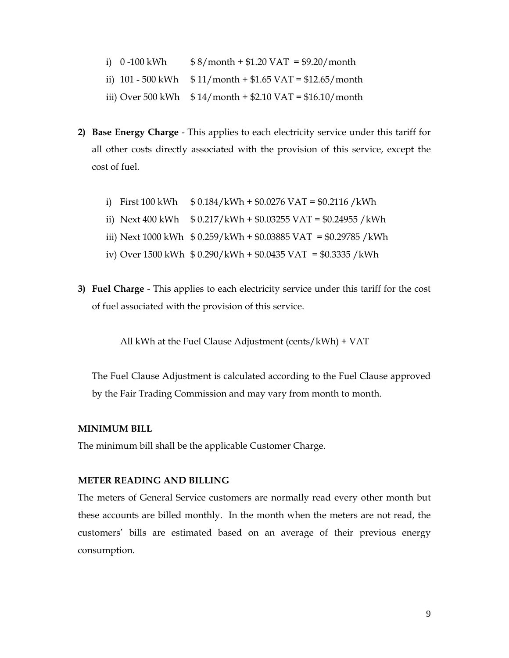- i)  $0 -100$  kWh  $$ 8/month + $1.20$  VAT = \$9.20/month
- ii)  $101 500$  kWh  $$11/month + $1.65$  VAT = \$12.65/month
- iii) Over 500 kWh  $$14/month + $2.10 \text{ VAT} = $16.10/month$
- **2) Base Energy Charge** This applies to each electricity service under this tariff for all other costs directly associated with the provision of this service, except the cost of fuel.
	- i) First 100 kWh  $$ 0.184/kWh + $0.0276 VAT = $0.2116 / kWh$ ii) Next 400 kWh  $$ 0.217/kWh + $0.03255 VAT = $0.24955 / kWh$ iii) Next 1000 kWh \$ 0.259/kWh + \$0.03885 VAT = \$0.29785 /kWh iv) Over 1500 kWh \$ 0.290/kWh + \$0.0435 VAT = \$0.3335 /kWh
- **3) Fuel Charge** This applies to each electricity service under this tariff for the cost of fuel associated with the provision of this service.

All kWh at the Fuel Clause Adjustment (cents/kWh) + VAT

The Fuel Clause Adjustment is calculated according to the Fuel Clause approved by the Fair Trading Commission and may vary from month to month.

#### **MINIMUM BILL**

The minimum bill shall be the applicable Customer Charge.

### **METER READING AND BILLING**

The meters of General Service customers are normally read every other month but these accounts are billed monthly. In the month when the meters are not read, the customers' bills are estimated based on an average of their previous energy consumption.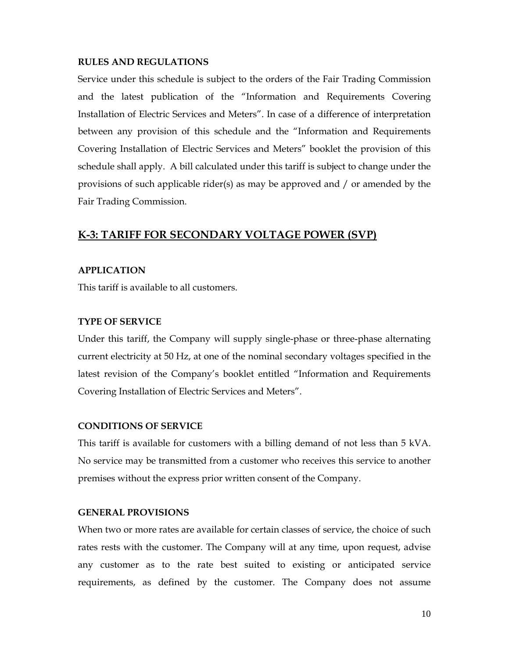#### **RULES AND REGULATIONS**

Service under this schedule is subject to the orders of the Fair Trading Commission and the latest publication of the "Information and Requirements Covering Installation of Electric Services and Meters". In case of a difference of interpretation between any provision of this schedule and the "Information and Requirements Covering Installation of Electric Services and Meters" booklet the provision of this schedule shall apply. A bill calculated under this tariff is subject to change under the provisions of such applicable rider(s) as may be approved and / or amended by the Fair Trading Commission.

## **K-3: TARIFF FOR SECONDARY VOLTAGE POWER (SVP)**

#### **APPLICATION**

This tariff is available to all customers.

#### **TYPE OF SERVICE**

Under this tariff, the Company will supply single-phase or three-phase alternating current electricity at 50 Hz, at one of the nominal secondary voltages specified in the latest revision of the Company's booklet entitled "Information and Requirements Covering Installation of Electric Services and Meters".

#### **CONDITIONS OF SERVICE**

This tariff is available for customers with a billing demand of not less than 5 kVA. No service may be transmitted from a customer who receives this service to another premises without the express prior written consent of the Company.

## **GENERAL PROVISIONS**

When two or more rates are available for certain classes of service, the choice of such rates rests with the customer. The Company will at any time, upon request, advise any customer as to the rate best suited to existing or anticipated service requirements, as defined by the customer. The Company does not assume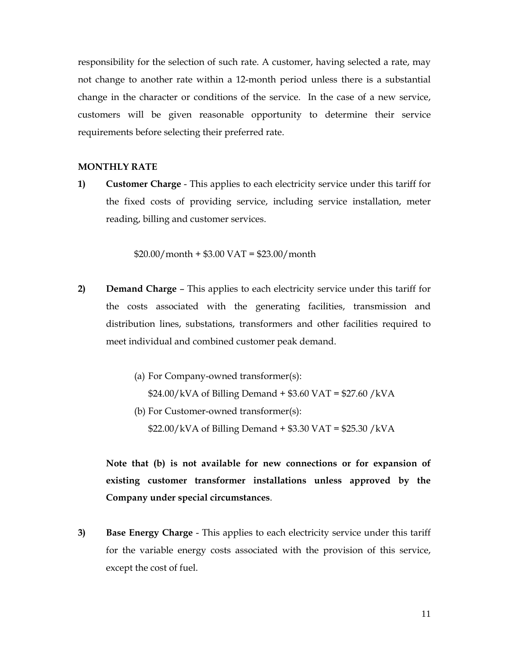responsibility for the selection of such rate. A customer, having selected a rate, may not change to another rate within a 12-month period unless there is a substantial change in the character or conditions of the service. In the case of a new service, customers will be given reasonable opportunity to determine their service requirements before selecting their preferred rate.

#### **MONTHLY RATE**

**1) Customer Charge** - This applies to each electricity service under this tariff for the fixed costs of providing service, including service installation, meter reading, billing and customer services.

 $$20.00/m$ onth + \$3.00 VAT = \$23.00/month

- **2) Demand Charge**  This applies to each electricity service under this tariff for the costs associated with the generating facilities, transmission and distribution lines, substations, transformers and other facilities required to meet individual and combined customer peak demand.
	- (a) For Company-owned transformer(s):  $$24.00/kVA$  of Billing Demand + \$3.60 VAT = \$27.60 /kVA
	- (b) For Customer-owned transformer(s):

 $$22.00/kVA$  of Billing Demand + \$3.30 VAT = \$25.30 /kVA

**Note that (b) is not available for new connections or for expansion of existing customer transformer installations unless approved by the Company under special circumstances**.

**3) Base Energy Charge** - This applies to each electricity service under this tariff for the variable energy costs associated with the provision of this service, except the cost of fuel.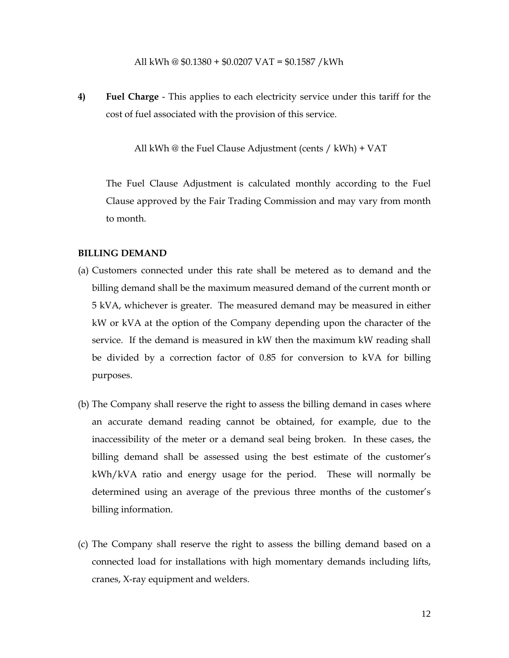All kWh @ \$0.1380 + \$0.0207 VAT = \$0.1587 /kWh

**4) Fuel Charge** - This applies to each electricity service under this tariff for the cost of fuel associated with the provision of this service.

All kWh @ the Fuel Clause Adjustment (cents / kWh) + VAT

The Fuel Clause Adjustment is calculated monthly according to the Fuel Clause approved by the Fair Trading Commission and may vary from month to month.

#### **BILLING DEMAND**

- (a) Customers connected under this rate shall be metered as to demand and the billing demand shall be the maximum measured demand of the current month or 5 kVA, whichever is greater. The measured demand may be measured in either kW or kVA at the option of the Company depending upon the character of the service. If the demand is measured in kW then the maximum kW reading shall be divided by a correction factor of 0.85 for conversion to kVA for billing purposes.
- (b) The Company shall reserve the right to assess the billing demand in cases where an accurate demand reading cannot be obtained, for example, due to the inaccessibility of the meter or a demand seal being broken. In these cases, the billing demand shall be assessed using the best estimate of the customer's kWh/kVA ratio and energy usage for the period. These will normally be determined using an average of the previous three months of the customer's billing information.
- (c) The Company shall reserve the right to assess the billing demand based on a connected load for installations with high momentary demands including lifts, cranes, X-ray equipment and welders.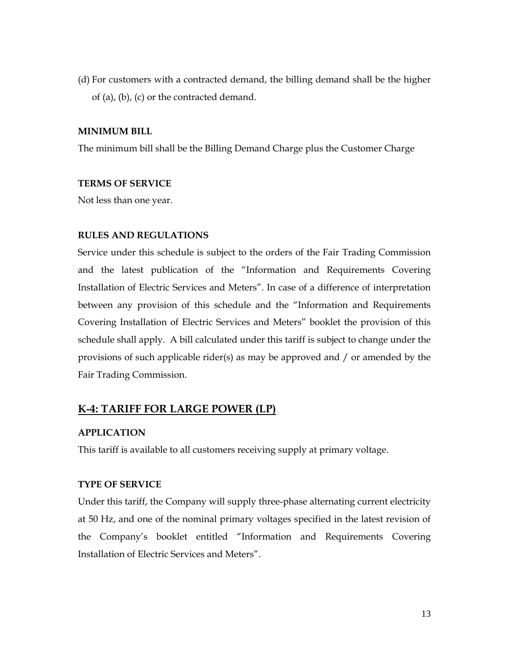(d) For customers with a contracted demand, the billing demand shall be the higher of (a), (b), (c) or the contracted demand.

#### **MINIMUM BILL**

The minimum bill shall be the Billing Demand Charge plus the Customer Charge

## **TERMS OF SERVICE**

Not less than one year.

## **RULES AND REGULATIONS**

Service under this schedule is subject to the orders of the Fair Trading Commission and the latest publication of the "Information and Requirements Covering Installation of Electric Services and Meters". In case of a difference of interpretation between any provision of this schedule and the "Information and Requirements Covering Installation of Electric Services and Meters" booklet the provision of this schedule shall apply. A bill calculated under this tariff is subject to change under the provisions of such applicable rider(s) as may be approved and / or amended by the Fair Trading Commission.

## **K-4: TARIFF FOR LARGE POWER (LP)**

## **APPLICATION**

This tariff is available to all customers receiving supply at primary voltage.

#### **TYPE OF SERVICE**

Under this tariff, the Company will supply three-phase alternating current electricity at 50 Hz, and one of the nominal primary voltages specified in the latest revision of the Company's booklet entitled "Information and Requirements Covering Installation of Electric Services and Meters".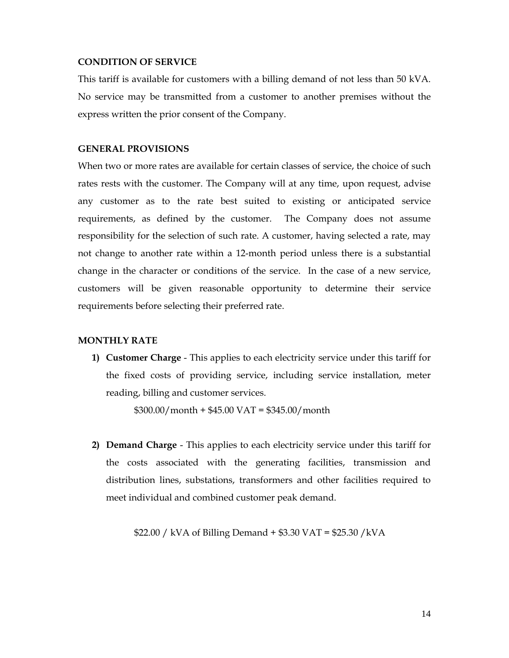#### **CONDITION OF SERVICE**

This tariff is available for customers with a billing demand of not less than 50 kVA. No service may be transmitted from a customer to another premises without the express written the prior consent of the Company.

#### **GENERAL PROVISIONS**

When two or more rates are available for certain classes of service, the choice of such rates rests with the customer. The Company will at any time, upon request, advise any customer as to the rate best suited to existing or anticipated service requirements, as defined by the customer. The Company does not assume responsibility for the selection of such rate. A customer, having selected a rate, may not change to another rate within a 12-month period unless there is a substantial change in the character or conditions of the service. In the case of a new service, customers will be given reasonable opportunity to determine their service requirements before selecting their preferred rate.

## **MONTHLY RATE**

**1) Customer Charge** - This applies to each electricity service under this tariff for the fixed costs of providing service, including service installation, meter reading, billing and customer services.

 $$300.00/month + $45.00 VAT = $345.00/month$ 

**2) Demand Charge** - This applies to each electricity service under this tariff for the costs associated with the generating facilities, transmission and distribution lines, substations, transformers and other facilities required to meet individual and combined customer peak demand.

\$22.00 / kVA of Billing Demand + \$3.30 VAT = \$25.30 /kVA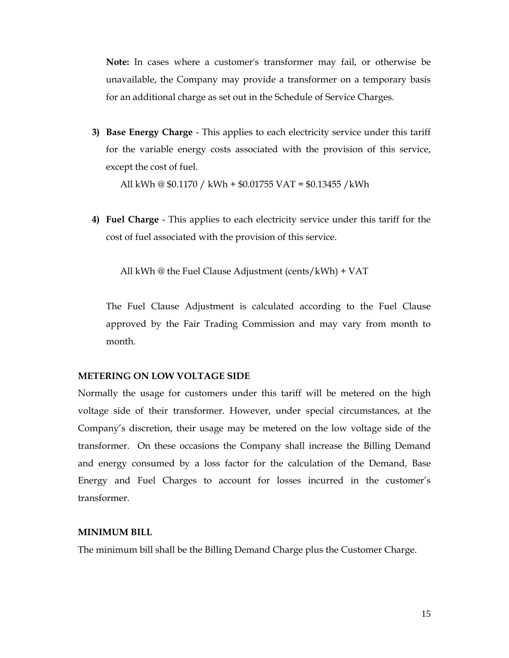**Note:** In cases where a customer's transformer may fail, or otherwise be unavailable, the Company may provide a transformer on a temporary basis for an additional charge as set out in the Schedule of Service Charges.

**3) Base Energy Charge** - This applies to each electricity service under this tariff for the variable energy costs associated with the provision of this service, except the cost of fuel.

All kWh @ \$0.1170 / kWh + \$0.01755 VAT = \$0.13455 /kWh

**4) Fuel Charge** - This applies to each electricity service under this tariff for the cost of fuel associated with the provision of this service.

All kWh @ the Fuel Clause Adjustment (cents/kWh) + VAT

 The Fuel Clause Adjustment is calculated according to the Fuel Clause approved by the Fair Trading Commission and may vary from month to month.

### **METERING ON LOW VOLTAGE SIDE**

Normally the usage for customers under this tariff will be metered on the high voltage side of their transformer. However, under special circumstances, at the Company's discretion, their usage may be metered on the low voltage side of the transformer. On these occasions the Company shall increase the Billing Demand and energy consumed by a loss factor for the calculation of the Demand, Base Energy and Fuel Charges to account for losses incurred in the customer's transformer.

## **MINIMUM BILL**

The minimum bill shall be the Billing Demand Charge plus the Customer Charge.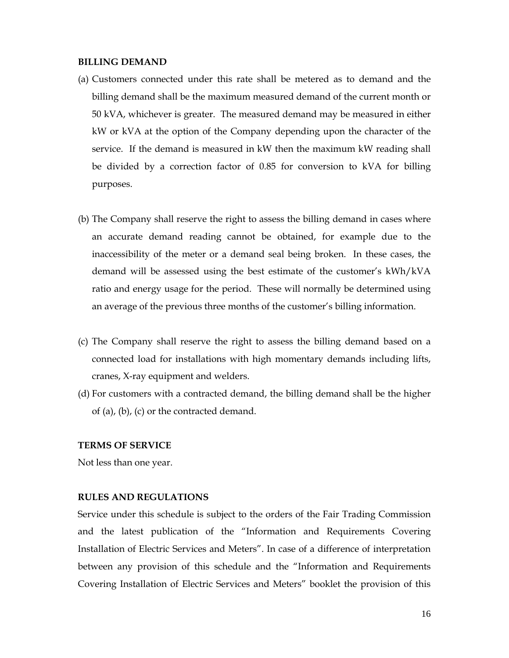#### **BILLING DEMAND**

- (a) Customers connected under this rate shall be metered as to demand and the billing demand shall be the maximum measured demand of the current month or 50 kVA, whichever is greater. The measured demand may be measured in either kW or kVA at the option of the Company depending upon the character of the service. If the demand is measured in kW then the maximum kW reading shall be divided by a correction factor of 0.85 for conversion to kVA for billing purposes.
- (b) The Company shall reserve the right to assess the billing demand in cases where an accurate demand reading cannot be obtained, for example due to the inaccessibility of the meter or a demand seal being broken. In these cases, the demand will be assessed using the best estimate of the customer's kWh/kVA ratio and energy usage for the period. These will normally be determined using an average of the previous three months of the customer's billing information.
- (c) The Company shall reserve the right to assess the billing demand based on a connected load for installations with high momentary demands including lifts, cranes, X-ray equipment and welders.
- (d) For customers with a contracted demand, the billing demand shall be the higher of (a), (b), (c) or the contracted demand.

#### **TERMS OF SERVICE**

Not less than one year.

#### **RULES AND REGULATIONS**

Service under this schedule is subject to the orders of the Fair Trading Commission and the latest publication of the "Information and Requirements Covering Installation of Electric Services and Meters". In case of a difference of interpretation between any provision of this schedule and the "Information and Requirements Covering Installation of Electric Services and Meters" booklet the provision of this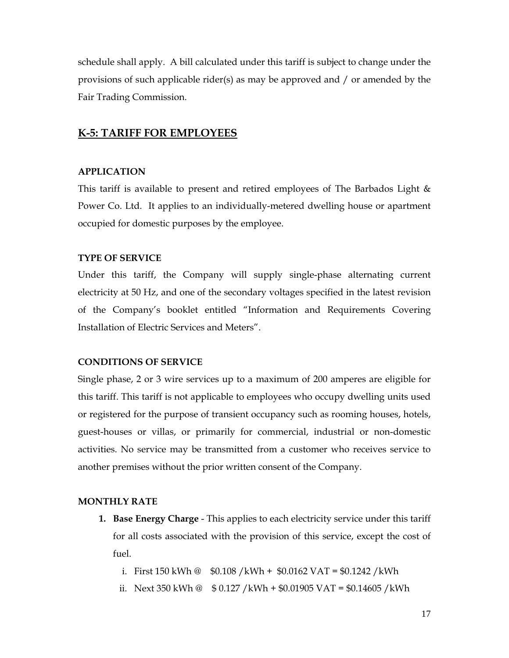schedule shall apply. A bill calculated under this tariff is subject to change under the provisions of such applicable rider(s) as may be approved and / or amended by the Fair Trading Commission.

## **K-5: TARIFF FOR EMPLOYEES**

#### **APPLICATION**

This tariff is available to present and retired employees of The Barbados Light  $\&$ Power Co. Ltd. It applies to an individually-metered dwelling house or apartment occupied for domestic purposes by the employee.

## **TYPE OF SERVICE**

Under this tariff, the Company will supply single-phase alternating current electricity at 50 Hz, and one of the secondary voltages specified in the latest revision of the Company's booklet entitled "Information and Requirements Covering Installation of Electric Services and Meters".

#### **CONDITIONS OF SERVICE**

Single phase, 2 or 3 wire services up to a maximum of 200 amperes are eligible for this tariff. This tariff is not applicable to employees who occupy dwelling units used or registered for the purpose of transient occupancy such as rooming houses, hotels, guest-houses or villas, or primarily for commercial, industrial or non-domestic activities. No service may be transmitted from a customer who receives service to another premises without the prior written consent of the Company.

#### **MONTHLY RATE**

**1. Base Energy Charge** - This applies to each electricity service under this tariff for all costs associated with the provision of this service, except the cost of fuel.

i. First 150 kWh  $\textcircled{a}$  \$0.108 /kWh + \$0.0162 VAT = \$0.1242 /kWh

ii. Next 350 kWh  $\textcircled{a}$  \$ 0.127 /kWh + \$0.01905 VAT = \$0.14605 /kWh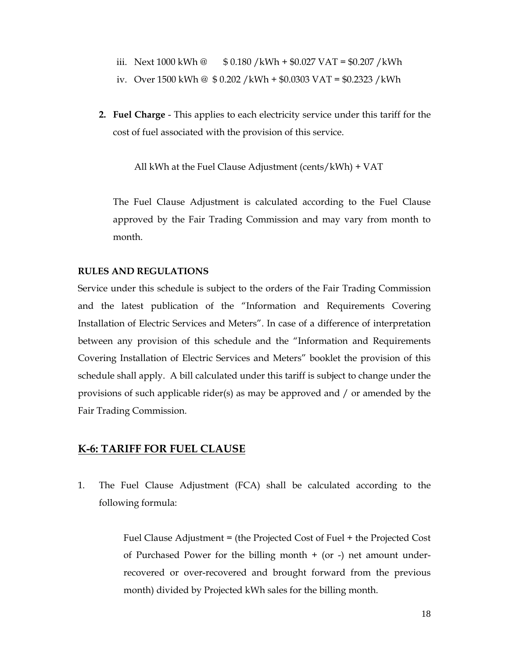- iii. Next 1000 kWh  $\textcircled{a}$  \$ 0.180 /kWh + \$0.027 VAT = \$0.207 /kWh
- iv. Over 1500 kWh @ \$ 0.202 /kWh + \$0.0303 VAT = \$0.2323 /kWh
- **2. Fuel Charge** This applies to each electricity service under this tariff for the cost of fuel associated with the provision of this service.

All kWh at the Fuel Clause Adjustment (cents/kWh) + VAT

The Fuel Clause Adjustment is calculated according to the Fuel Clause approved by the Fair Trading Commission and may vary from month to month.

#### **RULES AND REGULATIONS**

Service under this schedule is subject to the orders of the Fair Trading Commission and the latest publication of the "Information and Requirements Covering Installation of Electric Services and Meters". In case of a difference of interpretation between any provision of this schedule and the "Information and Requirements Covering Installation of Electric Services and Meters" booklet the provision of this schedule shall apply. A bill calculated under this tariff is subject to change under the provisions of such applicable rider(s) as may be approved and / or amended by the Fair Trading Commission.

### **K-6: TARIFF FOR FUEL CLAUSE**

1. The Fuel Clause Adjustment (FCA) shall be calculated according to the following formula:

> Fuel Clause Adjustment = (the Projected Cost of Fuel + the Projected Cost of Purchased Power for the billing month + (or -) net amount underrecovered or over-recovered and brought forward from the previous month) divided by Projected kWh sales for the billing month.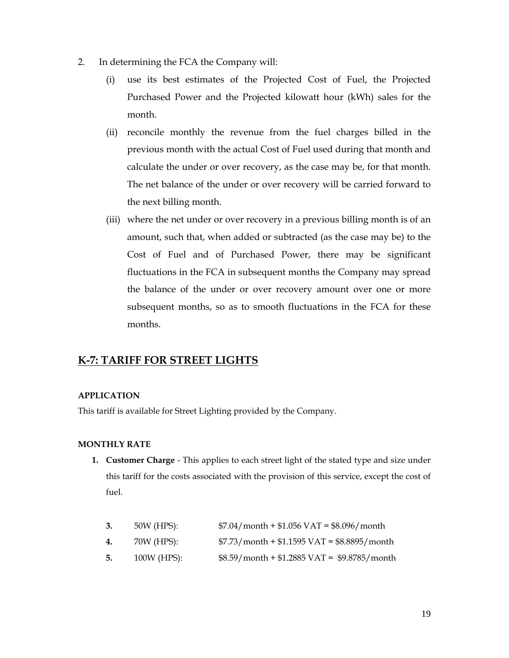- 2. In determining the FCA the Company will:
	- (i) use its best estimates of the Projected Cost of Fuel, the Projected Purchased Power and the Projected kilowatt hour (kWh) sales for the month.
	- (ii) reconcile monthly the revenue from the fuel charges billed in the previous month with the actual Cost of Fuel used during that month and calculate the under or over recovery, as the case may be, for that month. The net balance of the under or over recovery will be carried forward to the next billing month.
	- (iii) where the net under or over recovery in a previous billing month is of an amount, such that, when added or subtracted (as the case may be) to the Cost of Fuel and of Purchased Power, there may be significant fluctuations in the FCA in subsequent months the Company may spread the balance of the under or over recovery amount over one or more subsequent months, so as to smooth fluctuations in the FCA for these months.

## **K-7: TARIFF FOR STREET LIGHTS**

#### **APPLICATION**

This tariff is available for Street Lighting provided by the Company.

#### **MONTHLY RATE**

**1. Customer Charge** - This applies to each street light of the stated type and size under this tariff for the costs associated with the provision of this service, except the cost of fuel.

| 3. | 50W (HPS):  | $$7.04/month + $1.056 VAT = $8.096/month$           |
|----|-------------|-----------------------------------------------------|
| 4. | 70W (HPS):  | $$7.73/morth + $1.1595 VAT = $8.8895/month$         |
| 5. | 100W (HPS): | $$8.59/month + $1.2885 \text{ VAT} = $9.8785/month$ |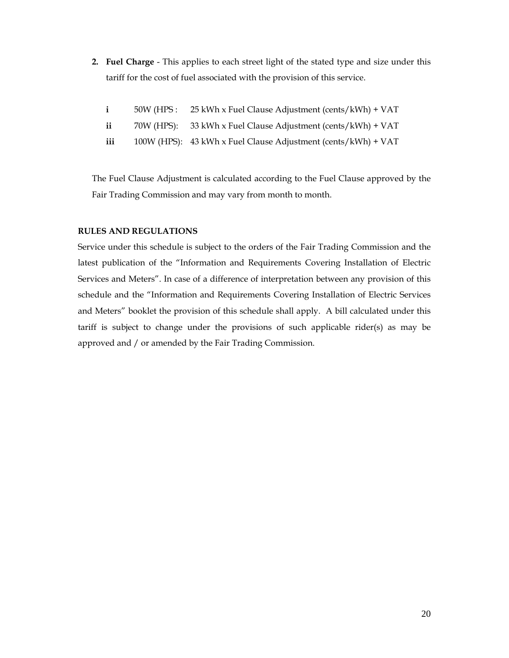**2. Fuel Charge** - This applies to each street light of the stated type and size under this tariff for the cost of fuel associated with the provision of this service.

| $\mathbf{i}$ | 50W (HPS: 25 kWh x Fuel Clause Adjustment (cents/kWh) + VAT   |
|--------------|---------------------------------------------------------------|
| ii           | 70W (HPS): 33 kWh x Fuel Clause Adjustment (cents/kWh) + VAT  |
| iii          | 100W (HPS): 43 kWh x Fuel Clause Adjustment (cents/kWh) + VAT |

The Fuel Clause Adjustment is calculated according to the Fuel Clause approved by the Fair Trading Commission and may vary from month to month.

#### **RULES AND REGULATIONS**

Service under this schedule is subject to the orders of the Fair Trading Commission and the latest publication of the "Information and Requirements Covering Installation of Electric Services and Meters". In case of a difference of interpretation between any provision of this schedule and the "Information and Requirements Covering Installation of Electric Services and Meters" booklet the provision of this schedule shall apply. A bill calculated under this tariff is subject to change under the provisions of such applicable rider(s) as may be approved and / or amended by the Fair Trading Commission.